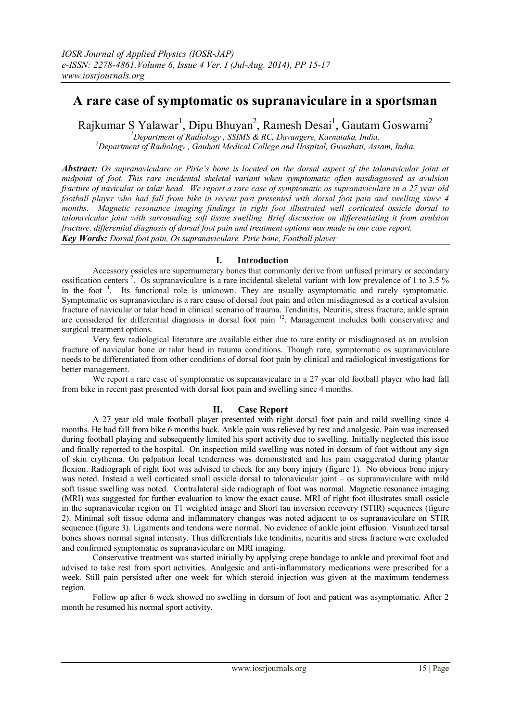# **A rare case of symptomatic os supranaviculare in a sportsman**

Rajkumar S Yalawar<sup>1</sup>, Dipu Bhuyan<sup>2</sup>, Ramesh Desai<sup>1</sup>, Gautam Goswami<sup>2</sup>

*<sup>1</sup>Department of Radiology , SSIMS & RC, Davangere, Karnataka, India. <sup>2</sup>Department of Radiology , Gauhati Medical College and Hospital, Guwahati, Assam, India.*

*Abstract: Os supranaviculare or Pirie's bone is located on the dorsal aspect of the talonavicular joint at midpoint of foot. This rare incidental skeletal variant when symptomatic often misdiagnosed as avulsion fracture of navicular or talar head. We report a rare case of symptomatic os supranaviculare in a 27 year old football player who had fall from bike in recent past presented with dorsal foot pain and swelling since 4 months. Magnetic resonance imaging findings in right foot illustrated well corticated ossicle dorsal to talonavicular joint with surrounding soft tissue swelling. Brief discussion on differentiating it from avulsion fracture, differential diagnosis of dorsal foot pain and treatment options was made in our case report. Key Words: Dorsal foot pain, Os supranaviculare, Pirie bone, Football player*

## **I. Introduction**

Accessory ossicles are supernumerary bones that commonly derive from unfused primary or secondary ossification centers<sup>2</sup>. Os supranaviculare is a rare incidental skeletal variant with low prevalence of 1 to 3.5 % in the foot<sup>4</sup>. Its functional role is unknown. They are usually asymptomatic and rarely symptomatic. Symptomatic os supranaviculare is a rare cause of dorsal foot pain and often misdiagnosed as a cortical avulsion fracture of navicular or talar head in clinical scenario of trauma. Tendinitis, Neuritis, stress fracture, ankle sprain are considered for differential diagnosis in dorsal foot pain <sup>12</sup>. Management includes both conservative and surgical treatment options.

Very few radiological literature are available either due to rare entity or misdiagnosed as an avulsion fracture of navicular bone or talar head in trauma conditions. Though rare, symptomatic os supranaviculare needs to be differentiated from other conditions of dorsal foot pain by clinical and radiological investigations for better management.

We report a rare case of symptomatic os supranaviculare in a 27 year old football player who had fall from bike in recent past presented with dorsal foot pain and swelling since 4 months.

# **II. Case Report**

A 27 year old male football player presented with right dorsal foot pain and mild swelling since 4 months. He had fall from bike 6 months back. Ankle pain was relieved by rest and analgesic. Pain was increased during football playing and subsequently limited his sport activity due to swelling. Initially neglected this issue and finally reported to the hospital. On inspection mild swelling was noted in dorsum of foot without any sign of skin erythema. On palpation local tenderness was demonstrated and his pain exaggerated during plantar flexion. Radiograph of right foot was advised to check for any bony injury (figure 1). No obvious bone injury was noted. Instead a well corticated small ossicle dorsal to talonavicular joint – os supranaviculare with mild soft tissue swelling was noted. Contralateral side radiograph of foot was normal. Magnetic resonance imaging (MRI) was suggested for further evaluation to know the exact cause. MRI of right foot illustrates small ossicle in the supranavicular region on T1 weighted image and Short tau inversion recovery (STIR) sequences (figure 2). Minimal soft tissue edema and inflammatory changes was noted adjacent to os supranaviculare on STIR sequence (figure 3). Ligaments and tendons were normal. No evidence of ankle joint effusion. Visualized tarsal bones shows normal signal intensity. Thus differentials like tendinitis, neuritis and stress fracture were excluded and confirmed symptomatic os supranaviculare on MRI imaging.

Conservative treatment was started initially by applying crepe bandage to ankle and proximal foot and advised to take rest from sport activities. Analgesic and anti-inflammatory medications were prescribed for a week. Still pain persisted after one week for which steroid injection was given at the maximum tenderness region.

Follow up after 6 week showed no swelling in dorsum of foot and patient was asymptomatic. After 2 month he resumed his normal sport activity.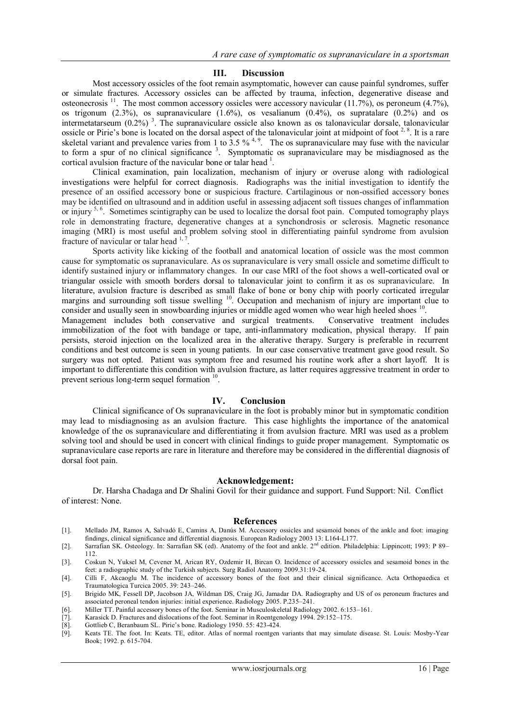## **III. Discussion**

Most accessory ossicles of the foot remain asymptomatic, however can cause painful syndromes, suffer or simulate fractures. Accessory ossicles can be affected by trauma, infection, degenerative disease and osteonecrosis  $^{11}$ . The most common accessory ossicles were accessory navicular (11.7%), os peroneum (4.7%), os trigonum  $(2.3\%)$ , os supranaviculare  $(1.6\%)$ , os vesalianum  $(0.4\%)$ , os supratalare  $(0.2\%)$  and os intermetatarseum  $(0.2\%)$ <sup>3</sup>. The supranaviculare ossicle also known as os talonavicular dorsale, talonavicular ossicle or Pirie's bone is located on the dorsal aspect of the talonavicular joint at midpoint of foot  $2, 8$ . It is a rare skeletal variant and prevalence varies from 1 to 3.5 %<sup>4, 9</sup>. The os supranaviculare may fuse with the navicular to form a spur of no clinical significance  $3$ . Symptomatic os supranaviculare may be misdiagnosed as the cortical avulsion fracture of the navicular bone or talar head  $<sup>1</sup>$ .</sup>

Clinical examination, pain localization, mechanism of injury or overuse along with radiological investigations were helpful for correct diagnosis. Radiographs was the initial investigation to identify the presence of an ossified accessory bone or suspicious fracture. Cartilaginous or non-ossified accessory bones may be identified on ultrasound and in addition useful in assessing adjacent soft tissues changes of inflammation or injury <sup>5, 6</sup>. Sometimes scintigraphy can be used to localize the dorsal foot pain. Computed tomography plays role in demonstrating fracture, degenerative changes at a synchondrosis or sclerosis. Magnetic resonance imaging (MRI) is most useful and problem solving stool in differentiating painful syndrome from avulsion fracture of navicular or talar head  $1, 7$ .

Sports activity like kicking of the football and anatomical location of ossicle was the most common cause for symptomatic os supranaviculare. As os supranaviculare is very small ossicle and sometime difficult to identify sustained injury or inflammatory changes. In our case MRI of the foot shows a well-corticated oval or triangular ossicle with smooth borders dorsal to talonavicular joint to confirm it as os supranaviculare. In literature, avulsion fracture is described as small flake of bone or bony chip with poorly corticated irregular margins and surrounding soft tissue swelling <sup>10</sup>. Occupation and mechanism of injury are important clue to consider and usually seen in snowboarding injuries or middle aged women who wear high heeled shoes <sup>10</sup>.

Management includes both conservative and surgical treatments. Conservative treatment includes immobilization of the foot with bandage or tape, anti-inflammatory medication, physical therapy. If pain persists, steroid injection on the localized area in the alterative therapy. Surgery is preferable in recurrent conditions and best outcome is seen in young patients. In our case conservative treatment gave good result. So surgery was not opted. Patient was symptom free and resumed his routine work after a short layoff. It is important to differentiate this condition with avulsion fracture, as latter requires aggressive treatment in order to prevent serious long-term sequel formation <sup>10</sup>.

## **IV. Conclusion**

Clinical significance of Os supranaviculare in the foot is probably minor but in symptomatic condition may lead to misdiagnosing as an avulsion fracture. This case highlights the importance of the anatomical knowledge of the os supranaviculare and differentiating it from avulsion fracture. MRI was used as a problem solving tool and should be used in concert with clinical findings to guide proper management. Symptomatic os supranaviculare case reports are rare in literature and therefore may be considered in the differential diagnosis of dorsal foot pain.

#### **Acknowledgement:**

Dr. Harsha Chadaga and Dr Shalini Govil for their guidance and support. Fund Support: Nil. Conflict of interest: None.

#### **References**

- [1]. Mellado JM, Ramos A, Salvadó E, Camins A, Danús M. Accessory ossicles and sesamoid bones of the ankle and foot: imaging findings, clinical significance and differential diagnosis. European Radiology 2003 13: L164-L177.
- [2]. Sarrafian SK. Osteology. In: Sarrafian SK (ed). Anatomy of the foot and ankle. 2nd edition. Philadelphia: Lippincott; 1993: P 89– 112.
- [3]. Coskun N, Yuksel M, Cevener M, Arican RY, Ozdemir H, Bircan O. Incidence of accessory ossicles and sesamoid bones in the feet: a radiographic study of the Turkish subjects. Surg Radiol Anatomy 2009.31:19-24.
- [4]. Cilli F, Akcaoglu M. The incidence of accessory bones of the foot and their clinical significance. Acta Orthopaedica et Traumatologica Turcica 2005. 39: 243–246.
- [5]. Brigido MK, Fessell DP, Jacobson JA, Wildman DS, Craig JG, Jamadar DA. Radiography and US of os peroneum fractures and associated peroneal tendon injuries: initial experience. Radiology 2005. P.235–241.
- [6]. Miller TT. Painful accessory bones of the foot. Seminar in Musculoskeletal Radiology 2002. 6:153–161.
- [7]. Karasick D. Fractures and dislocations of the foot. Seminar in Roentgenology 1994. 29:152–175.
- [8]. Gottlieb C, Beranbaum SL. Pirie's bone. Radiology 1950. 55: 423-424.
- Keats TE. The foot. In: Keats. TE, editor. Atlas of normal roentgen variants that may simulate disease. St. Louis: Mosby-Year Book; 1992. p. 615-704.